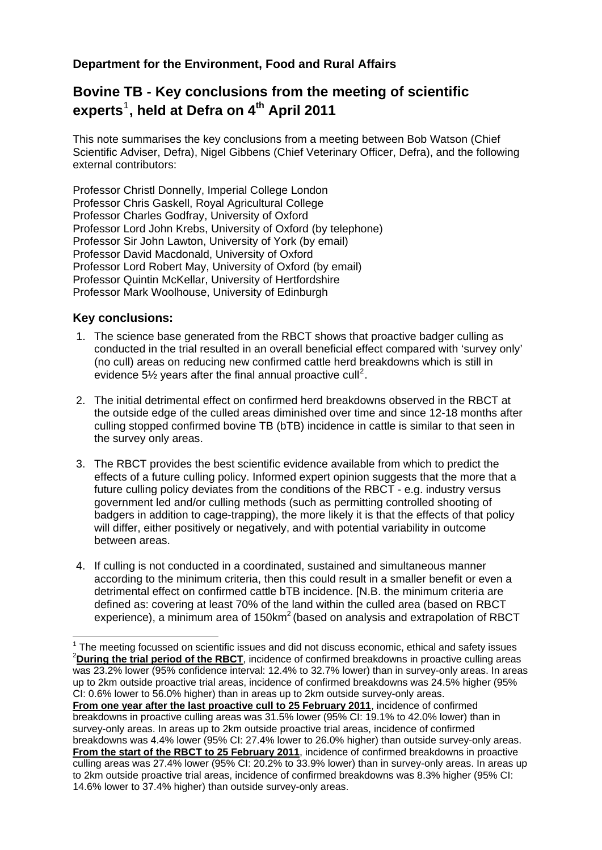## **Department for the Environment, Food and Rural Affairs**

## **Bovine TB - Key conclusions from the meeting of scientific experts**[1](#page-0-0) **, held at Defra on 4th April 2011**

This note summarises the key conclusions from a meeting between Bob Watson (Chief Scientific Adviser, Defra), Nigel Gibbens (Chief Veterinary Officer, Defra), and the following external contributors:

Professor Christl Donnelly, Imperial College London Professor Chris Gaskell, Royal Agricultural College Professor Charles Godfray, University of Oxford Professor Lord John Krebs, University of Oxford (by telephone) Professor Sir John Lawton, University of York (by email) Professor David Macdonald, University of Oxford Professor Lord Robert May, University of Oxford (by email) Professor Quintin McKellar, University of Hertfordshire Professor Mark Woolhouse, University of Edinburgh

## **Key conclusions:**

1

- 1. The science base generated from the RBCT shows that proactive badger culling as conducted in the trial resulted in an overall beneficial effect compared with 'survey only' (no cull) areas on reducing new confirmed cattle herd breakdowns which is still in evidence 5 $\frac{1}{2}$  $\frac{1}{2}$  $\frac{1}{2}$  years after the final annual proactive cull<sup>2</sup>.
- 2. The initial detrimental effect on confirmed herd breakdowns observed in the RBCT at the outside edge of the culled areas diminished over time and since 12-18 months after culling stopped confirmed bovine TB (bTB) incidence in cattle is similar to that seen in the survey only areas.
- 3. The RBCT provides the best scientific evidence available from which to predict the effects of a future culling policy. Informed expert opinion suggests that the more that a future culling policy deviates from the conditions of the RBCT - e.g. industry versus government led and/or culling methods (such as permitting controlled shooting of badgers in addition to cage-trapping), the more likely it is that the effects of that policy will differ, either positively or negatively, and with potential variability in outcome between areas.
- 4. If culling is not conducted in a coordinated, sustained and simultaneous manner according to the minimum criteria, then this could result in a smaller benefit or even a detrimental effect on confirmed cattle bTB incidence. [N.B. the minimum criteria are defined as: covering at least 70% of the land within the culled area (based on RBCT experience), a minimum area of 150km<sup>2</sup> (based on analysis and extrapolation of RBCT

<span id="page-0-1"></span><span id="page-0-0"></span><sup>&</sup>lt;sup>1</sup> The meeting focussed on scientific issues and did not discuss economic, ethical and safety issues  ${}^{2}$  During the trial period of the BBCT isoidence of confirmed breakdowns in presentive quiling erection <sup>2</sup> During the trial period of the RBCT, incidence of confirmed breakdowns in proactive culling areas was 23.2% lower (95% confidence interval: 12.4% to 32.7% lower) than in survey-only areas. In areas up to 2km outside proactive trial areas, incidence of confirmed breakdowns was 24.5% higher (95% CI: 0.6% lower to 56.0% higher) than in areas up to 2km outside survey-only areas. **From one year after the last proactive cull to 25 February 2011**, incidence of confirmed breakdowns in proactive culling areas was 31.5% lower (95% CI: 19.1% to 42.0% lower) than in survey-only areas. In areas up to 2km outside proactive trial areas, incidence of confirmed breakdowns was 4.4% lower (95% CI: 27.4% lower to 26.0% higher) than outside survey-only areas. **From the start of the RBCT to 25 February 2011**, incidence of confirmed breakdowns in proactive culling areas was 27.4% lower (95% CI: 20.2% to 33.9% lower) than in survey-only areas. In areas up to 2km outside proactive trial areas, incidence of confirmed breakdowns was 8.3% higher (95% CI: 14.6% lower to 37.4% higher) than outside survey-only areas.